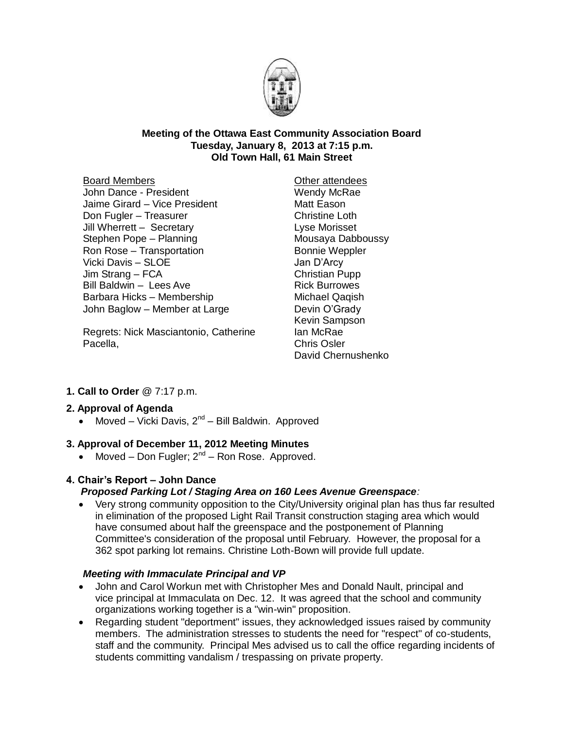

#### **Meeting of the Ottawa East Community Association Board Tuesday, January 8, 2013 at 7:15 p.m. Old Town Hall, 61 Main Street**

#### Board Members

John Dance - President Jaime Girard – Vice President Don Fugler – Treasurer Jill Wherrett – Secretary Stephen Pope – Planning Ron Rose – Transportation Vicki Davis – SLOE Jim Strang – FCA Bill Baldwin – Lees Ave Barbara Hicks – Membership John Baglow – Member at Large

Regrets: Nick Masciantonio, Catherine Pacella,

Other attendees Wendy McRae Matt Eason Christine Loth Lyse Morisset Mousaya Dabboussy Bonnie Weppler Jan D'Arcy Christian Pupp Rick Burrowes Michael Qaqish Devin O'Grady Kevin Sampson Ian McRae Chris Osler David Chernushenko

# **1. Call to Order** @ 7:17 p.m.

# **2. Approval of Agenda**

• Moved – Vicki Davis,  $2^{nd}$  – Bill Baldwin. Approved

# **3. Approval of December 11, 2012 Meeting Minutes**

• Moved – Don Fugler;  $2^{nd}$  – Ron Rose. Approved.

# **4. Chair's Report – John Dance**

# *Proposed Parking Lot / Staging Area on 160 Lees Avenue Greenspace:*

 Very strong community opposition to the City/University original plan has thus far resulted in elimination of the proposed Light Rail Transit construction staging area which would have consumed about half the greenspace and the postponement of Planning Committee's consideration of the proposal until February. However, the proposal for a 362 spot parking lot remains. Christine Loth-Bown will provide full update.

## *Meeting with Immaculate Principal and VP*

- John and Carol Workun met with Christopher Mes and Donald Nault, principal and vice principal at Immaculata on Dec. 12. It was agreed that the school and community organizations working together is a "win-win" proposition.
- Regarding student "deportment" issues, they acknowledged issues raised by community members. The administration stresses to students the need for "respect" of co-students, staff and the community. Principal Mes advised us to call the office regarding incidents of students committing vandalism / trespassing on private property.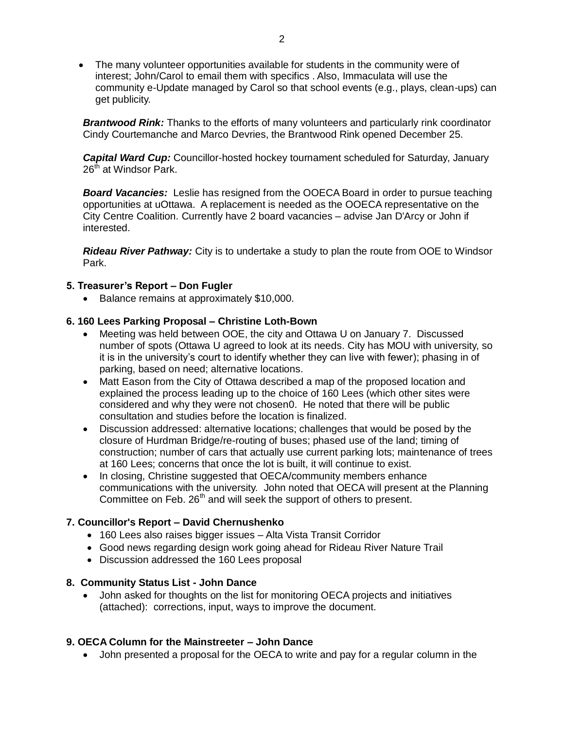The many volunteer opportunities available for students in the community were of interest; John/Carol to email them with specifics . Also, Immaculata will use the community e-Update managed by Carol so that school events (e.g., plays, clean-ups) can get publicity.

*Brantwood Rink:* Thanks to the efforts of many volunteers and particularly rink coordinator Cindy Courtemanche and Marco Devries, the Brantwood Rink opened December 25.

*Capital Ward Cup:* Councillor-hosted hockey tournament scheduled for Saturday, January 26<sup>th</sup> at Windsor Park.

*Board Vacancies:* Leslie has resigned from the OOECA Board in order to pursue teaching opportunities at uOttawa. A replacement is needed as the OOECA representative on the City Centre Coalition. Currently have 2 board vacancies – advise Jan D'Arcy or John if interested.

*Rideau River Pathway:* City is to undertake a study to plan the route from OOE to Windsor Park.

#### **5. Treasurer's Report – Don Fugler**

• Balance remains at approximately \$10,000.

#### **6. 160 Lees Parking Proposal – Christine Loth-Bown**

- Meeting was held between OOE, the city and Ottawa U on January 7. Discussed number of spots (Ottawa U agreed to look at its needs. City has MOU with university, so it is in the university's court to identify whether they can live with fewer); phasing in of parking, based on need; alternative locations.
- Matt Eason from the City of Ottawa described a map of the proposed location and explained the process leading up to the choice of 160 Lees (which other sites were considered and why they were not chosen0. He noted that there will be public consultation and studies before the location is finalized.
- Discussion addressed: alternative locations; challenges that would be posed by the closure of Hurdman Bridge/re-routing of buses; phased use of the land; timing of construction; number of cars that actually use current parking lots; maintenance of trees at 160 Lees; concerns that once the lot is built, it will continue to exist.
- In closing, Christine suggested that OECA/community members enhance communications with the university. John noted that OECA will present at the Planning Committee on Feb. 26<sup>th</sup> and will seek the support of others to present.

## **7. Councillor's Report – David Chernushenko**

- 160 Lees also raises bigger issues Alta Vista Transit Corridor
- Good news regarding design work going ahead for Rideau River Nature Trail
- Discussion addressed the 160 Lees proposal

#### **8. Community Status List - John Dance**

 John asked for thoughts on the list for monitoring OECA projects and initiatives (attached): corrections, input, ways to improve the document.

## **9. OECA Column for the Mainstreeter – John Dance**

John presented a proposal for the OECA to write and pay for a regular column in the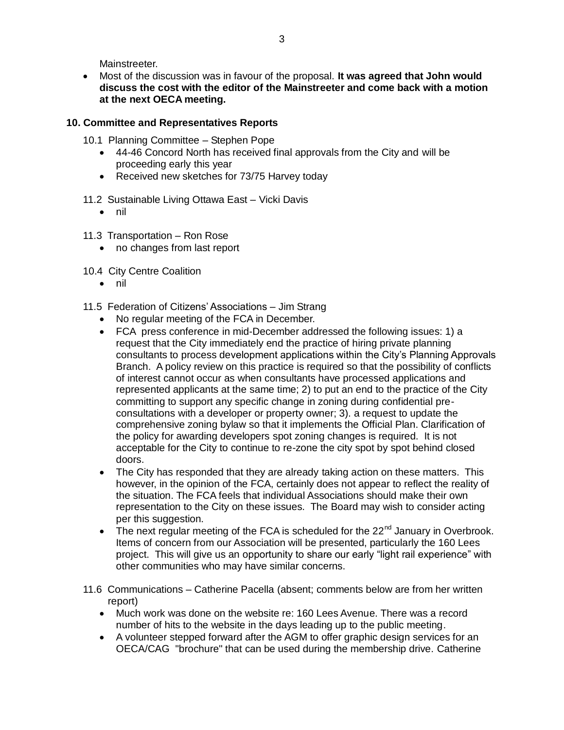Mainstreeter.

 Most of the discussion was in favour of the proposal. **It was agreed that John would discuss the cost with the editor of the Mainstreeter and come back with a motion at the next OECA meeting.**

## **10. Committee and Representatives Reports**

- 10.1 Planning Committee Stephen Pope
	- 44-46 Concord North has received final approvals from the City and will be proceeding early this year
	- Received new sketches for 73/75 Harvey today
- 11.2 Sustainable Living Ottawa East Vicki Davis
	- $\bullet$  nil
- 11.3 Transportation Ron Rose
	- no changes from last report
- 10.4 City Centre Coalition
	- nil
- 11.5 Federation of Citizens' Associations Jim Strang
	- No regular meeting of the FCA in December.
	- FCA press conference in mid-December addressed the following issues: 1) a request that the City immediately end the practice of hiring private planning consultants to process development applications within the City's Planning Approvals Branch. A policy review on this practice is required so that the possibility of conflicts of interest cannot occur as when consultants have processed applications and represented applicants at the same time; 2) to put an end to the practice of the City committing to support any specific change in zoning during confidential preconsultations with a developer or property owner; 3). a request to update the comprehensive zoning bylaw so that it implements the Official Plan. Clarification of the policy for awarding developers spot zoning changes is required. It is not acceptable for the City to continue to re-zone the city spot by spot behind closed doors.
	- The City has responded that they are already taking action on these matters. This however, in the opinion of the FCA, certainly does not appear to reflect the reality of the situation. The FCA feels that individual Associations should make their own representation to the City on these issues. The Board may wish to consider acting per this suggestion.
	- The next regular meeting of the FCA is scheduled for the  $22<sup>nd</sup>$  January in Overbrook. Items of concern from our Association will be presented, particularly the 160 Lees project. This will give us an opportunity to share our early "light rail experience" with other communities who may have similar concerns.
- 11.6 Communications Catherine Pacella (absent; comments below are from her written report)
	- Much work was done on the website re: 160 Lees Avenue. There was a record number of hits to the website in the days leading up to the public meeting.
	- A volunteer stepped forward after the AGM to offer graphic design services for an OECA/CAG "brochure" that can be used during the membership drive. Catherine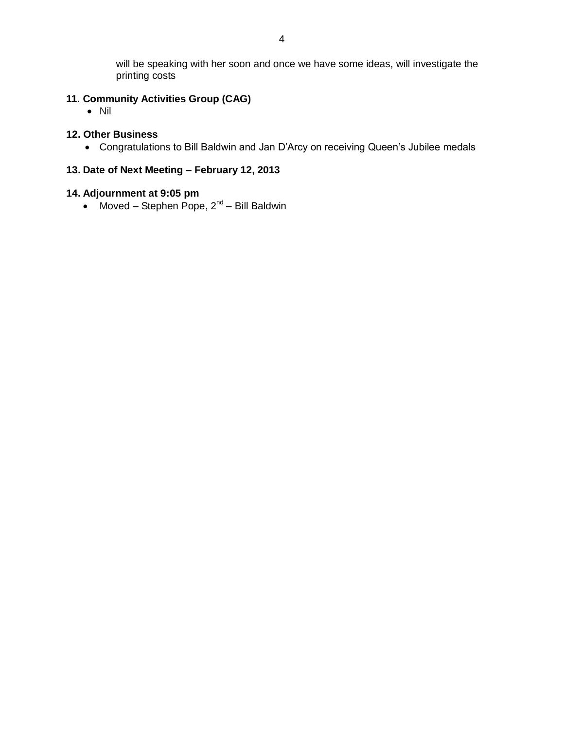will be speaking with her soon and once we have some ideas, will investigate the printing costs

# **11. Community Activities Group (CAG)**

• Nil

## **12. Other Business**

Congratulations to Bill Baldwin and Jan D'Arcy on receiving Queen's Jubilee medals

# **13. Date of Next Meeting – February 12, 2013**

## **14. Adjournment at 9:05 pm**

• Moved – Stephen Pope,  $2^{nd}$  – Bill Baldwin